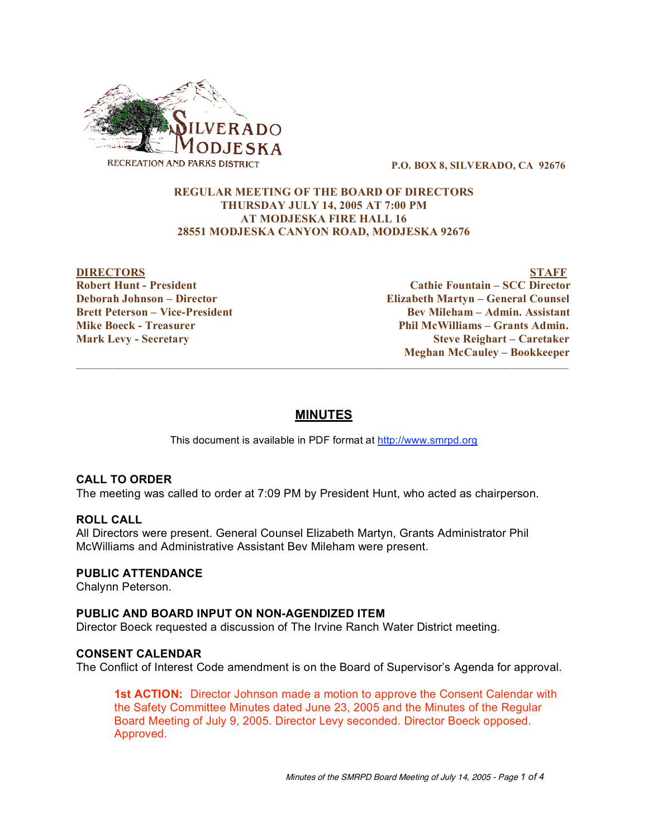

**P.O. BOX 8, SILVERADO, CA 92676**

## **REGULAR MEETING OF THE BOARD OF DIRECTORS THURSDAY JULY 14, 2005 AT 7:00 PM AT MODJESKA FIRE HALL 16 28551 MODJESKA CANYON ROAD, MODJESKA 92676**

**DIRECTORS STAFF Robert Hunt - President Cathie Fountain – SCC Director Deborah Johnson – Director Elizabeth Martyn – General Counsel Brett Peterson – Vice-President Bev Mileham – Admin. Assistant Mike Boeck - Treasurer Phil McWilliams – Grants Admin. Mark Levy - Secretary Steve Reighart – Caretaker Meghan McCauley – Bookkeeper**

# **MINUTES**

 $\overline{\phantom{a}}$  ,  $\overline{\phantom{a}}$  ,  $\overline{\phantom{a}}$  ,  $\overline{\phantom{a}}$  ,  $\overline{\phantom{a}}$  ,  $\overline{\phantom{a}}$  ,  $\overline{\phantom{a}}$  ,  $\overline{\phantom{a}}$  ,  $\overline{\phantom{a}}$  ,  $\overline{\phantom{a}}$  ,  $\overline{\phantom{a}}$  ,  $\overline{\phantom{a}}$  ,  $\overline{\phantom{a}}$  ,  $\overline{\phantom{a}}$  ,  $\overline{\phantom{a}}$  ,  $\overline{\phantom{a}}$ 

This document is available in PDF format at http://www.smrpd.org

# **CALL TO ORDER**

The meeting was called to order at 7:09 PM by President Hunt, who acted as chairperson.

## **ROLL CALL**

All Directors were present. General Counsel Elizabeth Martyn, Grants Administrator Phil McWilliams and Administrative Assistant Bev Mileham were present.

## **PUBLIC ATTENDANCE**

Chalynn Peterson.

## **PUBLIC AND BOARD INPUT ON NON-AGENDIZED ITEM**

Director Boeck requested a discussion of The Irvine Ranch Water District meeting.

## **CONSENT CALENDAR**

The Conflict of Interest Code amendment is on the Board of Supervisor's Agenda for approval.

**1st ACTION:** Director Johnson made a motion to approve the Consent Calendar with the Safety Committee Minutes dated June 23, 2005 and the Minutes of the Regular Board Meeting of July 9, 2005. Director Levy seconded. Director Boeck opposed. Approved.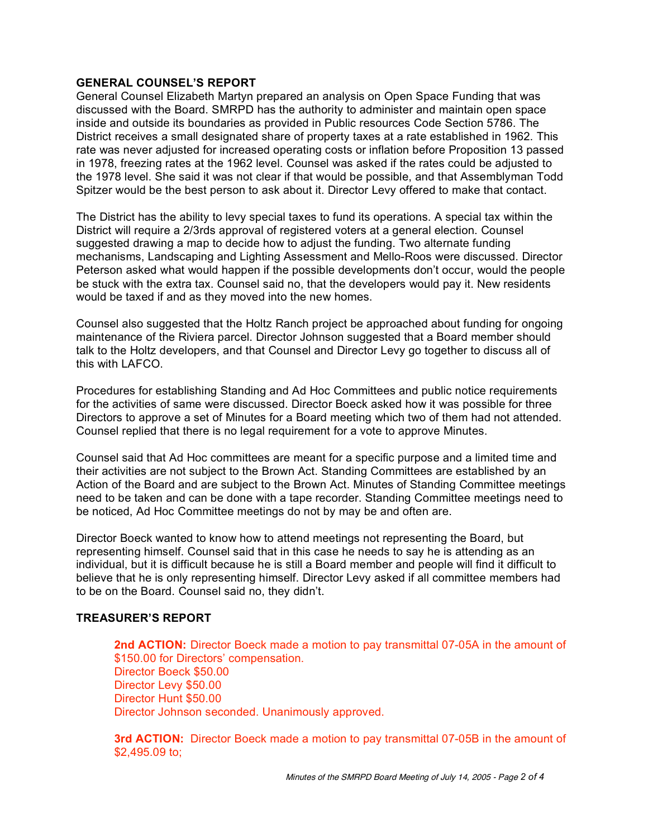## **GENERAL COUNSEL'S REPORT**

General Counsel Elizabeth Martyn prepared an analysis on Open Space Funding that was discussed with the Board. SMRPD has the authority to administer and maintain open space inside and outside its boundaries as provided in Public resources Code Section 5786. The District receives a small designated share of property taxes at a rate established in 1962. This rate was never adjusted for increased operating costs or inflation before Proposition 13 passed in 1978, freezing rates at the 1962 level. Counsel was asked if the rates could be adjusted to the 1978 level. She said it was not clear if that would be possible, and that Assemblyman Todd Spitzer would be the best person to ask about it. Director Levy offered to make that contact.

The District has the ability to levy special taxes to fund its operations. A special tax within the District will require a 2/3rds approval of registered voters at a general election. Counsel suggested drawing a map to decide how to adjust the funding. Two alternate funding mechanisms, Landscaping and Lighting Assessment and Mello-Roos were discussed. Director Peterson asked what would happen if the possible developments don't occur, would the people be stuck with the extra tax. Counsel said no, that the developers would pay it. New residents would be taxed if and as they moved into the new homes.

Counsel also suggested that the Holtz Ranch project be approached about funding for ongoing maintenance of the Riviera parcel. Director Johnson suggested that a Board member should talk to the Holtz developers, and that Counsel and Director Levy go together to discuss all of this with LAFCO.

Procedures for establishing Standing and Ad Hoc Committees and public notice requirements for the activities of same were discussed. Director Boeck asked how it was possible for three Directors to approve a set of Minutes for a Board meeting which two of them had not attended. Counsel replied that there is no legal requirement for a vote to approve Minutes.

Counsel said that Ad Hoc committees are meant for a specific purpose and a limited time and their activities are not subject to the Brown Act. Standing Committees are established by an Action of the Board and are subject to the Brown Act. Minutes of Standing Committee meetings need to be taken and can be done with a tape recorder. Standing Committee meetings need to be noticed, Ad Hoc Committee meetings do not by may be and often are.

Director Boeck wanted to know how to attend meetings not representing the Board, but representing himself. Counsel said that in this case he needs to say he is attending as an individual, but it is difficult because he is still a Board member and people will find it difficult to believe that he is only representing himself. Director Levy asked if all committee members had to be on the Board. Counsel said no, they didn't.

# **TREASURER'S REPORT**

**2nd ACTION:** Director Boeck made a motion to pay transmittal 07-05A in the amount of \$150.00 for Directors' compensation. Director Boeck \$50.00 Director Levy \$50.00 Director Hunt \$50.00 Director Johnson seconded. Unanimously approved.

**3rd ACTION:** Director Boeck made a motion to pay transmittal 07-05B in the amount of \$2,495.09 to;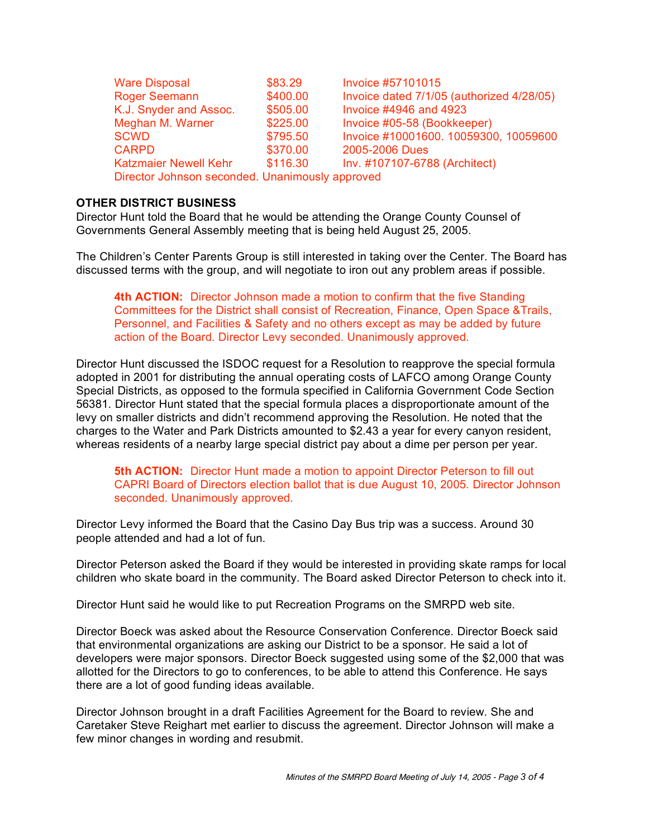| <b>Ware Disposal</b>                            | \$83.29  | Invoice #57101015                         |
|-------------------------------------------------|----------|-------------------------------------------|
| <b>Roger Seemann</b>                            | \$400.00 | Invoice dated 7/1/05 (authorized 4/28/05) |
| K.J. Snyder and Assoc.                          | \$505.00 | Invoice #4946 and 4923                    |
| Meghan M. Warner                                | \$225.00 | Invoice #05-58 (Bookkeeper)               |
| <b>SCWD</b>                                     | \$795.50 | Invoice #10001600. 10059300, 10059600     |
| <b>CARPD</b>                                    | \$370.00 | 2005-2006 Dues                            |
| <b>Katzmaier Newell Kehr</b>                    | \$116.30 | Inv. #107107-6788 (Architect)             |
| Director Johnson seconded. Unanimously approved |          |                                           |

## **OTHER DISTRICT BUSINESS**

Director Hunt told the Board that he would be attending the Orange County Counsel of Governments General Assembly meeting that is being held August 25, 2005.

The Children's Center Parents Group is still interested in taking over the Center. The Board has discussed terms with the group, and will negotiate to iron out any problem areas if possible.

**4th ACTION:** Director Johnson made a motion to confirm that the five Standing Committees for the District shall consist of Recreation, Finance, Open Space &Trails, Personnel, and Facilities & Safety and no others except as may be added by future action of the Board. Director Levy seconded. Unanimously approved.

Director Hunt discussed the ISDOC request for a Resolution to reapprove the special formula adopted in 2001 for distributing the annual operating costs of LAFCO among Orange County Special Districts, as opposed to the formula specified in California Government Code Section 56381. Director Hunt stated that the special formula places a disproportionate amount of the levy on smaller districts and didn't recommend approving the Resolution. He noted that the charges to the Water and Park Districts amounted to \$2.43 a year for every canyon resident, whereas residents of a nearby large special district pay about a dime per person per year.

**5th ACTION:** Director Hunt made a motion to appoint Director Peterson to fill out CAPRI Board of Directors election ballot that is due August 10, 2005. Director Johnson seconded. Unanimously approved.

Director Levy informed the Board that the Casino Day Bus trip was a success. Around 30 people attended and had a lot of fun.

Director Peterson asked the Board if they would be interested in providing skate ramps for local children who skate board in the community. The Board asked Director Peterson to check into it.

Director Hunt said he would like to put Recreation Programs on the SMRPD web site.

Director Boeck was asked about the Resource Conservation Conference. Director Boeck said that environmental organizations are asking our District to be a sponsor. He said a lot of developers were major sponsors. Director Boeck suggested using some of the \$2,000 that was allotted for the Directors to go to conferences, to be able to attend this Conference. He says there are a lot of good funding ideas available.

Director Johnson brought in a draft Facilities Agreement for the Board to review. She and Caretaker Steve Reighart met earlier to discuss the agreement. Director Johnson will make a few minor changes in wording and resubmit.